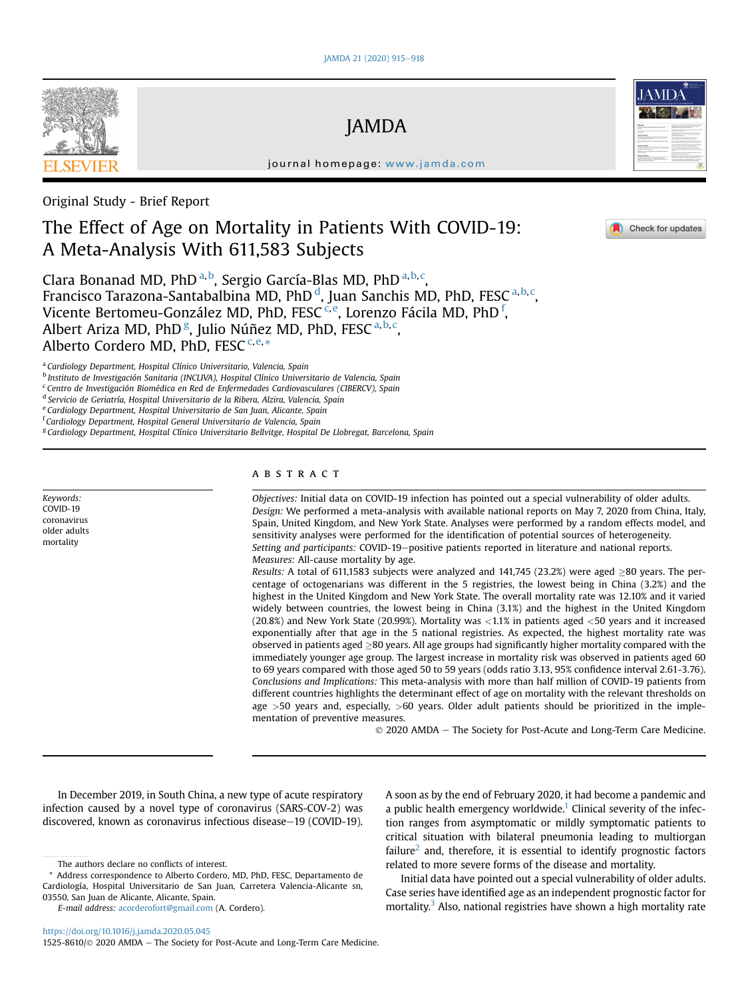

JAMDA

journal homepage: [www.jamda.com](http://www.jamda.com)

Original Study - Brief Report

# The Effect of Age on Mortality in Patients With COVID-19: A Meta-Analysis With 611,583 Subjects

Cl[a](#page-0-0)ra Bonanad MD, PhD <sup>a,[b](#page-0-1)</sup>, Sergio García-Blas MD, PhD <sup>a,[b,](#page-0-1)[c](#page-0-2)</sup>, Francisco Tarazona-Santabalbina MD, PhD <sup>[d](#page-0-3)</sup>, Juan Sanchis MD, PhD, FESC <sup>[a,](#page-0-0) [b](#page-0-1), [c](#page-0-2)</sup>, Vi[c](#page-0-2)[e](#page-0-4)nte Bertomeu-González MD, PhD, FESC<sup>c,e</sup>, Lorenzo Fácila MD, PhD <sup>[f](#page-0-5)</sup>, Albert Ariza MD, PhD <sup>[g](#page-0-6)</sup>, Julio Núñez MD, PhD, FESC <sup>[a,](#page-0-0) [b](#page-0-1), [c](#page-0-2)</sup>, Alberto Cordero MD, PhD, FESC<sup>C,[e,](#page-0-4)[\\*](#page-0-7)</sup>

<span id="page-0-0"></span><sup>a</sup> Cardiology Department, Hospital Clínico Universitario, Valencia, Spain

<span id="page-0-1"></span>b Instituto de Investigación Sanitaria (INCLIVA), Hospital Clínico Universitario de Valencia, Spain

<span id="page-0-2"></span><sup>c</sup> Centro de Investigación Biomédica en Red de Enfermedades Cardiovasculares (CIBERCV), Spain

<span id="page-0-3"></span><sup>d</sup> Servicio de Geriatría, Hospital Universitario de la Ribera, Alzira, Valencia, Spain

<span id="page-0-4"></span><sup>e</sup> Cardiology Department, Hospital Universitario de San Juan, Alicante, Spain

<span id="page-0-5"></span><sup>f</sup> Cardiology Department, Hospital General Universitario de Valencia, Spain

<span id="page-0-6"></span><sup>g</sup> Cardiology Department, Hospital Clínico Universitario Bellvitge, Hospital De Llobregat, Barcelona, Spain

Keywords: COVID-19 coronavirus older adults mortality

# **ABSTRACT**

Objectives: Initial data on COVID-19 infection has pointed out a special vulnerability of older adults. Design: We performed a meta-analysis with available national reports on May 7, 2020 from China, Italy, Spain, United Kingdom, and New York State. Analyses were performed by a random effects model, and sensitivity analyses were performed for the identification of potential sources of heterogeneity. Setting and participants: COVID-19-positive patients reported in literature and national reports. Measures: All-cause mortality by age.

Results: A total of 611,1583 subjects were analyzed and 141,745 (23.2%) were aged  $>80$  years. The percentage of octogenarians was different in the 5 registries, the lowest being in China (3.2%) and the highest in the United Kingdom and New York State. The overall mortality rate was 12.10% and it varied widely between countries, the lowest being in China (3.1%) and the highest in the United Kingdom (20.8%) and New York State (20.99%). Mortality was <1.1% in patients aged <50 years and it increased exponentially after that age in the 5 national registries. As expected, the highest mortality rate was observed in patients aged  $\geq$ 80 years. All age groups had significantly higher mortality compared with the immediately younger age group. The largest increase in mortality risk was observed in patients aged 60 to 69 years compared with those aged 50 to 59 years (odds ratio 3.13, 95% confidence interval 2.61-3.76). Conclusions and Implications: This meta-analysis with more than half million of COVID-19 patients from different countries highlights the determinant effect of age on mortality with the relevant thresholds on age  $>50$  years and, especially,  $>60$  years. Older adult patients should be prioritized in the implementation of preventive measures.

2020 AMDA e The Society for Post-Acute and Long-Term Care Medicine.

Check for updates

In December 2019, in South China, a new type of acute respiratory infection caused by a novel type of coronavirus (SARS-COV-2) was discovered, known as coronavirus infectious disease-19 (COVID-19).

E-mail address: [acorderofort@gmail.com](mailto:acorderofort@gmail.com) (A. Cordero).

A soon as by the end of February 2020, it had become a pandemic and a public health emergency worldwide.<sup>1</sup> Clinical severity of the infection ranges from asymptomatic or mildly symptomatic patients to critical situation with bilateral pneumonia leading to multiorgan failure<sup>[2](#page-3-1)</sup> and, therefore, it is essential to identify prognostic factors related to more severe forms of the disease and mortality.

Initial data have pointed out a special vulnerability of older adults. Case series have identified age as an independent prognostic factor for mortality.<sup>[3](#page-3-2)</sup> Also, national registries have shown a high mortality rate

1525-8610/ $\odot$  2020 AMDA - The Society for Post-Acute and Long-Term Care Medicine.

The authors declare no conflicts of interest.

<span id="page-0-7"></span><sup>\*</sup> Address correspondence to Alberto Cordero, MD, PhD, FESC, Departamento de Cardiología, Hospital Universitario de San Juan, Carretera Valencia-Alicante sn, 03550, San Juan de Alicante, Alicante, Spain.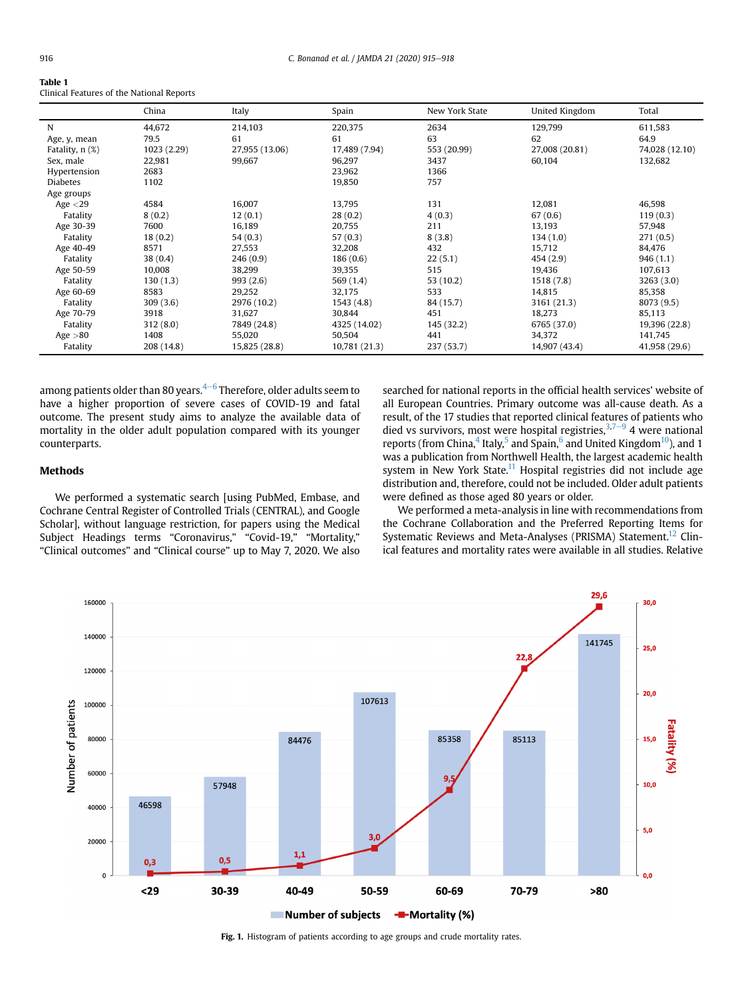<span id="page-1-0"></span>

| $\sim$<br>. . |  |
|---------------|--|
|---------------|--|

Clinical Features of the National Reports

| N<br>44,672<br>79.5<br>Age, y, mean<br>1023 (2.29)<br>Fatality, $n$ $(\%)$<br>22,981<br>Sex, male<br>2683<br>Hypertension | 214,103<br>61  | 220,375       |             |                |                |
|---------------------------------------------------------------------------------------------------------------------------|----------------|---------------|-------------|----------------|----------------|
|                                                                                                                           |                |               | 2634        | 129,799        | 611,583        |
|                                                                                                                           |                | 61            | 63          | 62             | 64.9           |
|                                                                                                                           | 27,955 (13.06) | 17,489 (7.94) | 553 (20.99) | 27,008 (20.81) | 74,028 (12.10) |
|                                                                                                                           | 99,667         | 96,297        | 3437        | 60,104         | 132,682        |
|                                                                                                                           |                | 23,962        | 1366        |                |                |
| <b>Diabetes</b><br>1102                                                                                                   |                | 19,850        | 757         |                |                |
| Age groups                                                                                                                |                |               |             |                |                |
| 4584<br>Age $<$ 29                                                                                                        | 16,007         | 13,795        | 131         | 12,081         | 46,598         |
| Fatality<br>8(0.2)                                                                                                        | 12(0.1)        | 28(0.2)       | 4(0.3)      | 67(0.6)        | 119(0.3)       |
| Age 30-39<br>7600                                                                                                         | 16,189         | 20,755        | 211         | 13,193         | 57,948         |
| Fatality<br>18(0.2)                                                                                                       | 54(0.3)        | 57(0.3)       | 8(3.8)      | 134(1.0)       | 271(0.5)       |
| Age 40-49<br>8571                                                                                                         | 27,553         | 32,208        | 432         | 15,712         | 84,476         |
| Fatality<br>38(0.4)                                                                                                       | 246(0.9)       | 186(0.6)      | 22(5.1)     | 454(2.9)       | 946(1.1)       |
| 10,008<br>Age 50-59                                                                                                       | 38,299         | 39,355        | 515         | 19,436         | 107,613        |
| Fatality<br>130(1.3)                                                                                                      | 993(2.6)       | 569 (1.4)     | 53 (10.2)   | 1518 (7.8)     | 3263(3.0)      |
| 8583<br>Age 60-69                                                                                                         | 29,252         | 32,175        | 533         | 14.815         | 85,358         |
| Fatality<br>309(3.6)                                                                                                      | 2976 (10.2)    | 1543(4.8)     | 84 (15.7)   | 3161 (21.3)    | 8073 (9.5)     |
| Age 70-79<br>3918                                                                                                         | 31,627         | 30,844        | 451         | 18,273         | 85,113         |
| Fatality<br>312(8.0)                                                                                                      | 7849 (24.8)    | 4325 (14.02)  | 145 (32.2)  | 6765 (37.0)    | 19,396 (22.8)  |
| Age $>80$<br>1408                                                                                                         | 55,020         | 50,504        | 441         | 34,372         | 141,745        |
| Fatality<br>208 (14.8)                                                                                                    | 15,825 (28.8)  | 10,781 (21.3) | 237 (53.7)  | 14,907 (43.4)  | 41,958 (29.6)  |

among patients older than 80 years. $4\text{-}6$  $4\text{-}6$  $4\text{-}6$  Therefore, older adults seem to have a higher proportion of severe cases of COVID-19 and fatal outcome. The present study aims to analyze the available data of mortality in the older adult population compared with its younger counterparts.

# searched for national reports in the official health services' website of all European Countries. Primary outcome was all-cause death. As a result, of the 17 studies that reported clinical features of patients who died vs survivors, most were hospital registries,  $3,7-9$  $3,7-9$  $3,7-9$  $3,7-9$  4 were national reports (from China, <sup>[4](#page-3-3)</sup> Italy, <sup>[5](#page-3-5)</sup> and Spain,  $6$  and United Kingdom<sup>10</sup>), and 1 was a publication from Northwell Health, the largest academic health system in New York State.<sup>[11](#page-3-8)</sup> Hospital registries did not include age distribution and, therefore, could not be included. Older adult patients were defined as those aged 80 years or older.

# Methods

We performed a systematic search [using PubMed, Embase, and Cochrane Central Register of Controlled Trials (CENTRAL), and Google Scholar], without language restriction, for papers using the Medical Subject Headings terms "Coronavirus," "Covid-19," "Mortality," "Clinical outcomes" and "Clinical course" up to May 7, 2020. We also

We performed a meta-analysis in line with recommendations from the Cochrane Collaboration and the Preferred Reporting Items for Systematic Reviews and Meta-Analyses (PRISMA) Statement.<sup>[12](#page-3-9)</sup> Clinical features and mortality rates were available in all studies. Relative

<span id="page-1-1"></span>

Fig. 1. Histogram of patients according to age groups and crude mortality rates.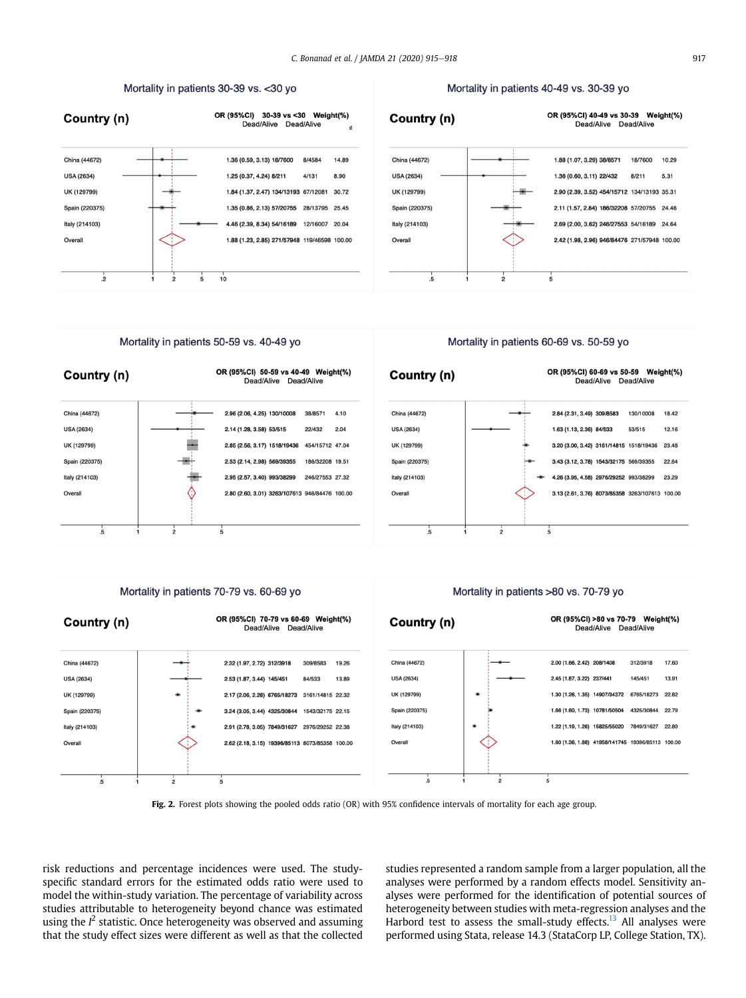# Mortality in patients 30-39 vs. < 30 yo

<span id="page-2-0"></span>

### Mortality in patients 40-49 vs. 30-39 yo





Mortality in patients 50-59 vs. 40-49 yo

# Mortality in patients 60-69 vs. 50-59 yo



### Mortality in patients 70-79 vs. 60-69 yo

#### OR (95%CI) 70-79 vs 60-69 Weight(%) Country (n) Dead/Alive Dead/Alive China (44672) 2.32 (1.97, 2.72) 312/3918 309/8583 19.26 **USA (2634)** 2.53 (1.87, 3.44) 145/451 84/533 13.89 UK (129799) 2.17 (2.06, 2.28) 6765/18273 3161/14815 22.32 Spain (220375) 3.24 (3.05, 3.44) 4325/30844 1543/32175 22.15 Italy (214103) 2.91 (2.78, 3.05) 7849/31627 2976/29252 22.38 2.62 (2.18, 3.15) 19396/85113 8073/85358 100.00 Overal  $\overline{5}$  $\frac{1}{2}$  $\frac{1}{5}$

# Mortality in patients >80 vs. 70-79 yo



Fig. 2. Forest plots showing the pooled odds ratio (OR) with 95% confidence intervals of mortality for each age group.

risk reductions and percentage incidences were used. The studyspecific standard errors for the estimated odds ratio were used to model the within-study variation. The percentage of variability across studies attributable to heterogeneity beyond chance was estimated using the  $I^2$  statistic. Once heterogeneity was observed and assuming that the study effect sizes were different as well as that the collected studies represented a random sample from a larger population, all the analyses were performed by a random effects model. Sensitivity analyses were performed for the identification of potential sources of heterogeneity between studies with meta-regression analyses and the Harbord test to assess the small-study effects.<sup>[13](#page-3-10)</sup> All analyses were performed using Stata, release 14.3 (StataCorp LP, College Station, TX).